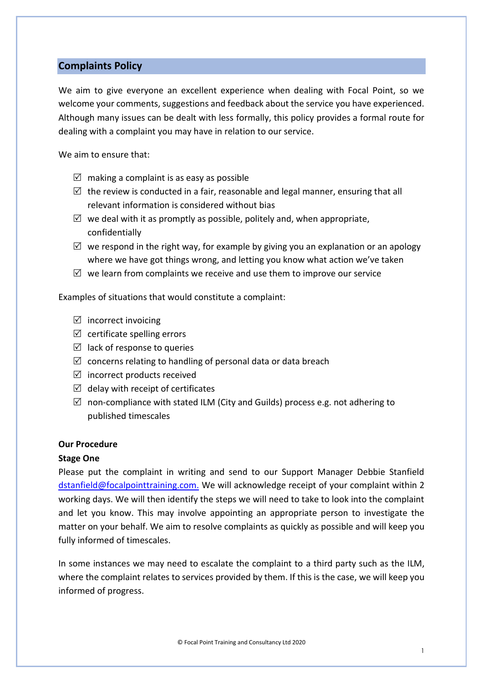# **Complaints Policy**

We aim to give everyone an excellent experience when dealing with Focal Point, so we welcome your comments, suggestions and feedback about the service you have experienced. Although many issues can be dealt with less formally, this policy provides a formal route for dealing with a complaint you may have in relation to our service.

We aim to ensure that:

- $\boxtimes$  making a complaint is as easy as possible
- $\boxtimes$  the review is conducted in a fair, reasonable and legal manner, ensuring that all relevant information is considered without bias
- $\boxtimes$  we deal with it as promptly as possible, politely and, when appropriate, confidentially
- $\boxtimes$  we respond in the right way, for example by giving you an explanation or an apology where we have got things wrong, and letting you know what action we've taken
- $\boxtimes$  we learn from complaints we receive and use them to improve our service

Examples of situations that would constitute a complaint:

- $\boxtimes$  incorrect invoicing
- $\boxtimes$  certificate spelling errors
- $\boxtimes$  lack of response to queries
- $\boxtimes$  concerns relating to handling of personal data or data breach
- $\boxtimes$  incorrect products received
- $\boxtimes$  delay with receipt of certificates
- $\boxtimes$  non-compliance with stated ILM (City and Guilds) process e.g. not adhering to published timescales

### **Our Procedure**

### **Stage One**

Please put the complaint in writing and send to our Support Manager Debbie Stanfield [dstanfield@focalpointtraining.com.](mailto:dstanfield@focalpointtraining.com) We will acknowledge receipt of your complaint within 2 working days. We will then identify the steps we will need to take to look into the complaint and let you know. This may involve appointing an appropriate person to investigate the matter on your behalf. We aim to resolve complaints as quickly as possible and will keep you fully informed of timescales.

In some instances we may need to escalate the complaint to a third party such as the ILM, where the complaint relates to services provided by them. If this is the case, we will keep you informed of progress.